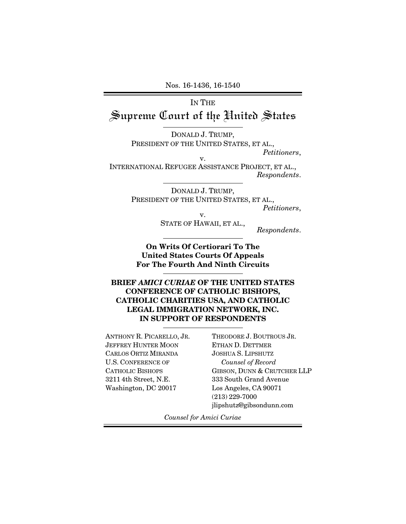Nos. 16-1436, 16-1540

IN THE

Supreme Court of the United States

DONALD J. TRUMP, PRESIDENT OF THE UNITED STATES, ET AL.,

*Petitioners*, v.

INTERNATIONAL REFUGEE ASSISTANCE PROJECT, ET AL., *Respondents*.

> DONALD J. TRUMP, PRESIDENT OF THE UNITED STATES, ET AL.,

*Petitioners*, v.

STATE OF HAWAII, ET AL., *Respondents*.

**On Writs Of Certiorari To The United States Courts Of Appeals For The Fourth And Ninth Circuits** 

**BRIEF** *AMICI CURIAE* **OF THE UNITED STATES CONFERENCE OF CATHOLIC BISHOPS, CATHOLIC CHARITIES USA, AND CATHOLIC LEGAL IMMIGRATION NETWORK, INC. IN SUPPORT OF RESPONDENTS** 

ANTHONY R. PICARELLO, JR. JEFFREY HUNTER MOON CARLOS ORTIZ MIRANDA U.S. CONFERENCE OF CATHOLIC BISHOPS 3211 4th Street, N.E. Washington, DC 20017

THEODORE J. BOUTROUS JR. ETHAN D. DETTMER JOSHUA S. LIPSHUTZ *Counsel of Record* GIBSON, DUNN & CRUTCHER LLP 333 South Grand Avenue Los Angeles, CA 90071 (213) 229-7000 jlipshutz@gibsondunn.com

*Counsel for Amici Curiae*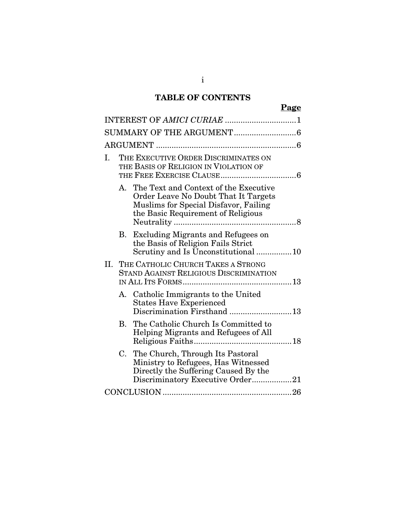# **TABLE OF CONTENTS**

| I. | THE EXECUTIVE ORDER DISCRIMINATES ON<br>THE BASIS OF RELIGION IN VIOLATION OF                                                                                   |  |  |
|----|-----------------------------------------------------------------------------------------------------------------------------------------------------------------|--|--|
|    | A. The Text and Context of the Executive<br>Order Leave No Doubt That It Targets<br>Muslims for Special Disfavor, Failing<br>the Basic Requirement of Religious |  |  |
|    | B. Excluding Migrants and Refugees on<br>the Basis of Religion Fails Strict<br>Scrutiny and Is Unconstitutional 10                                              |  |  |
|    | II. THE CATHOLIC CHURCH TAKES A STRONG<br><b>STAND AGAINST RELIGIOUS DISCRIMINATION</b>                                                                         |  |  |
|    | A. Catholic Immigrants to the United<br><b>States Have Experienced</b>                                                                                          |  |  |
|    | The Catholic Church Is Committed to<br>В.<br>Helping Migrants and Refugees of All                                                                               |  |  |
|    | The Church, Through Its Pastoral<br>C.<br>Ministry to Refugees, Has Witnessed<br>Directly the Suffering Caused By the<br>Discriminatory Executive Order21       |  |  |
|    |                                                                                                                                                                 |  |  |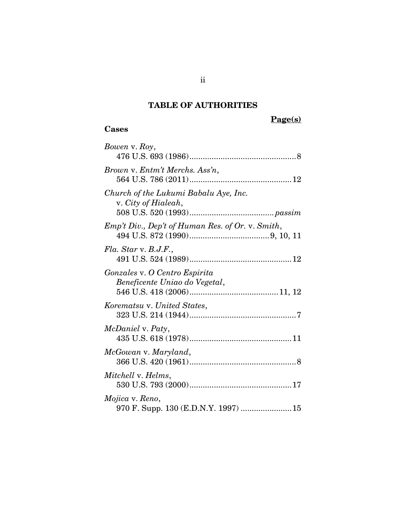## **TABLE OF AUTHORITIES**

# **Page(s)**

# **Cases**

| Bowen v. Roy,                                                  |
|----------------------------------------------------------------|
| Brown v. Entm't Merchs. Ass'n,                                 |
| Church of the Lukumi Babalu Aye, Inc.<br>v. City of Hialeah,   |
| Emp't Div., Dep't of Human Res. of Or. v. Smith,               |
| Fla. Star v. B.J.F.,                                           |
| Gonzales v. O Centro Espirita<br>Beneficente Uniao do Vegetal, |
| Korematsu v. United States,                                    |
| McDaniel v. Paty,                                              |
| McGowan v. Maryland,                                           |
| Mitchell v. Helms,                                             |
| Mojica v. Reno,                                                |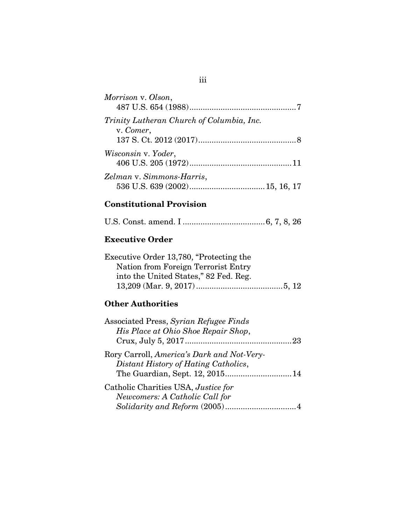| Morrison v. Olson,                                     |
|--------------------------------------------------------|
| Trinity Lutheran Church of Columbia, Inc.<br>v. Comer, |
| Wisconsin v. Yoder,                                    |
| Zelman v. Simmons-Harris,                              |

## **Constitutional Provision**

|--|--|--|--|--|--|--|--|--|

## **Executive Order**

| Executive Order 13,780, "Protecting the |  |
|-----------------------------------------|--|
| Nation from Foreign Terrorist Entry     |  |
| into the United States," 82 Fed. Reg.   |  |
|                                         |  |

# **Other Authorities**

| Associated Press, Syrian Refugee Finds     |  |
|--------------------------------------------|--|
| His Place at Ohio Shoe Repair Shop,        |  |
|                                            |  |
| Rory Carroll, America's Dark and Not-Very- |  |
| Distant History of Hating Catholics,       |  |
|                                            |  |
| Catholic Charities USA, Justice for        |  |
| Newcomers: A Catholic Call for             |  |
|                                            |  |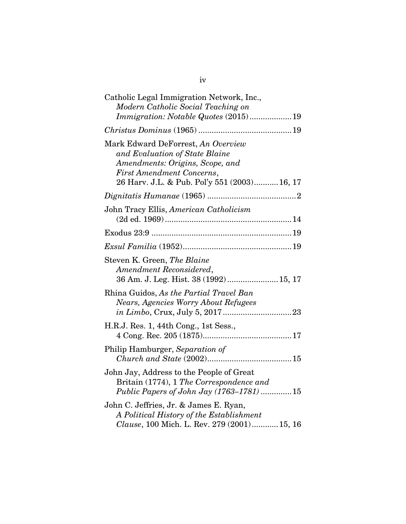| Catholic Legal Immigration Network, Inc.,<br>Modern Catholic Social Teaching on<br>Immigration: Notable Quotes (2015)19                                                                     |
|---------------------------------------------------------------------------------------------------------------------------------------------------------------------------------------------|
|                                                                                                                                                                                             |
| Mark Edward DeForrest, An Overview<br>and Evaluation of State Blaine<br>Amendments: Origins, Scope, and<br><b>First Amendment Concerns,</b><br>26 Harv. J.L. & Pub. Pol'y 551 (2003) 16, 17 |
|                                                                                                                                                                                             |
| John Tracy Ellis, American Catholicism                                                                                                                                                      |
|                                                                                                                                                                                             |
|                                                                                                                                                                                             |
| Steven K. Green, The Blaine<br>Amendment Reconsidered,<br>36 Am. J. Leg. Hist. 38 (1992) 15, 17                                                                                             |
| Rhina Guidos, As the Partial Travel Ban<br><b>Nears, Agencies Worry About Refugees</b>                                                                                                      |
| H.R.J. Res. 1, 44th Cong., 1st Sess.,                                                                                                                                                       |
| Philip Hamburger, Separation of                                                                                                                                                             |
| John Jay, Address to the People of Great<br>Britain (1774), 1 The Correspondence and<br>Public Papers of John Jay (1763-1781)  15                                                           |
| John C. Jeffries, Jr. & James E. Ryan,<br>A Political History of the Establishment<br>Clause, 100 Mich. L. Rev. 279 (2001) 15, 16                                                           |

iv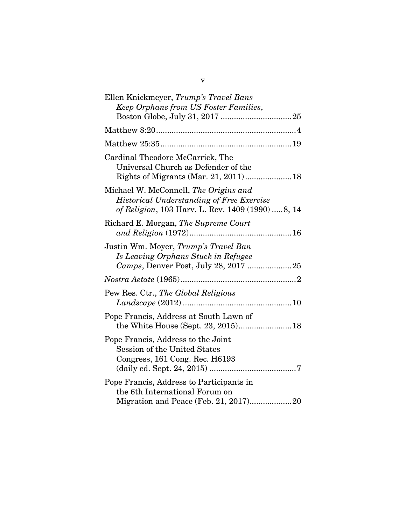| Ellen Knickmeyer, Trump's Travel Bans<br>Keep Orphans from US Foster Families,                                                                 |
|------------------------------------------------------------------------------------------------------------------------------------------------|
|                                                                                                                                                |
|                                                                                                                                                |
|                                                                                                                                                |
| Cardinal Theodore McCarrick, The<br>Universal Church as Defender of the<br>Rights of Migrants (Mar. 21, 2011) 18                               |
| Michael W. McConnell, The Origins and<br><b>Historical Understanding of Free Exercise</b><br>of Religion, 103 Harv. L. Rev. 1409 (1990)  8, 14 |
| Richard E. Morgan, The Supreme Court                                                                                                           |
| Justin Wm. Moyer, Trump's Travel Ban<br>Is Leaving Orphans Stuck in Refugee<br>Camps, Denver Post, July 28, 2017 25                            |
|                                                                                                                                                |
| Pew Res. Ctr., The Global Religious                                                                                                            |
| Pope Francis, Address at South Lawn of<br>the White House (Sept. 23, 2015) 18                                                                  |
| Pope Francis, Address to the Joint<br><b>Session of the United States</b><br>Congress, 161 Cong. Rec. H6193                                    |
| Pope Francis, Address to Participants in<br>the 6th International Forum on<br>Migration and Peace (Feb. 21, 2017)20                            |

v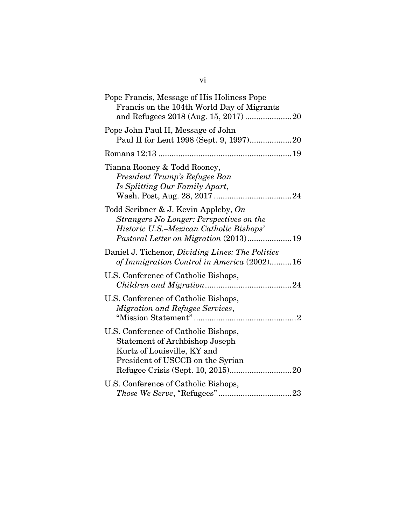| Pope Francis, Message of His Holiness Pope<br>Francis on the 104th World Day of Migrants                                                                             |
|----------------------------------------------------------------------------------------------------------------------------------------------------------------------|
|                                                                                                                                                                      |
| Pope John Paul II, Message of John<br>Paul II for Lent 1998 (Sept. 9, 1997)20                                                                                        |
|                                                                                                                                                                      |
| Tianna Rooney & Todd Rooney,<br>President Trump's Refugee Ban<br>Is Splitting Our Family Apart,                                                                      |
| Todd Scribner & J. Kevin Appleby, On<br>Strangers No Longer: Perspectives on the<br>Historic U.S.–Mexican Catholic Bishops'<br>Pastoral Letter on Migration (2013)19 |
| Daniel J. Tichenor, <i>Dividing Lines: The Politics</i><br>of Immigration Control in America (2002)16                                                                |
| U.S. Conference of Catholic Bishops,                                                                                                                                 |
| U.S. Conference of Catholic Bishops,<br>Migration and Refugee Services,                                                                                              |
| U.S. Conference of Catholic Bishops,<br>Statement of Archbishop Joseph<br>Kurtz of Louisville, KY and<br>President of USCCB on the Syrian                            |
| U.S. Conference of Catholic Bishops,                                                                                                                                 |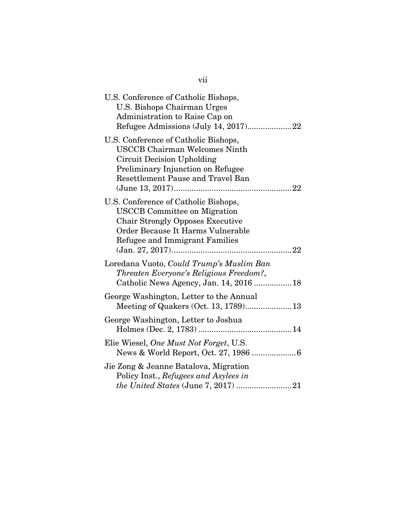| U.S. Conference of Catholic Bishops,<br>U.S. Bishops Chairman Urges<br>Administration to Raise Cap on<br>Refugee Admissions (July 14, 2017)22                                                 |
|-----------------------------------------------------------------------------------------------------------------------------------------------------------------------------------------------|
| U.S. Conference of Catholic Bishops,<br><b>USCCB Chairman Welcomes Ninth</b><br>Circuit Decision Upholding<br>Preliminary Injunction on Refugee<br><b>Resettlement Pause and Travel Ban</b>   |
| U.S. Conference of Catholic Bishops,<br><b>USCCB</b> Committee on Migration<br><b>Chair Strongly Opposes Executive</b><br>Order Because It Harms Vulnerable<br>Refugee and Immigrant Families |
| Loredana Vuoto, Could Trump's Muslim Ban<br>Threaten Everyone's Religious Freedom?,<br>Catholic News Agency, Jan. 14, 2016  18                                                                |
| George Washington, Letter to the Annual<br>Meeting of Quakers (Oct. 13, 1789) 13                                                                                                              |
| George Washington, Letter to Joshua                                                                                                                                                           |
| Elie Wiesel, One Must Not Forget, U.S.                                                                                                                                                        |
| Jie Zong & Jeanne Batalova, Migration<br>Policy Inst., Refugees and Asylees in                                                                                                                |

vii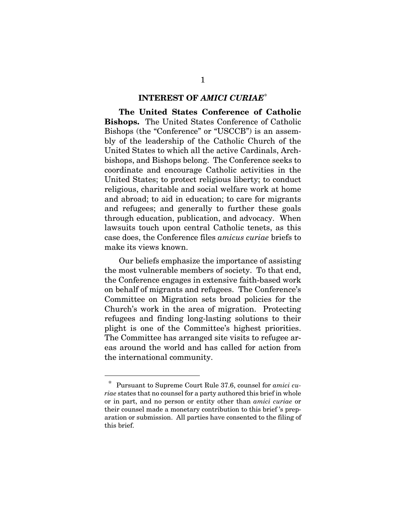#### **INTEREST OF** *AMICI CURIAE*\*

**The United States Conference of Catholic Bishops.** The United States Conference of Catholic Bishops (the "Conference" or "USCCB") is an assembly of the leadership of the Catholic Church of the United States to which all the active Cardinals, Archbishops, and Bishops belong. The Conference seeks to coordinate and encourage Catholic activities in the United States; to protect religious liberty; to conduct religious, charitable and social welfare work at home and abroad; to aid in education; to care for migrants and refugees; and generally to further these goals through education, publication, and advocacy. When lawsuits touch upon central Catholic tenets, as this case does, the Conference files *amicus curiae* briefs to make its views known.

Our beliefs emphasize the importance of assisting the most vulnerable members of society. To that end, the Conference engages in extensive faith-based work on behalf of migrants and refugees. The Conference's Committee on Migration sets broad policies for the Church's work in the area of migration. Protecting refugees and finding long-lasting solutions to their plight is one of the Committee's highest priorities. The Committee has arranged site visits to refugee areas around the world and has called for action from the international community.

 $\overline{a}$ 

<sup>\*</sup> Pursuant to Supreme Court Rule 37.6, counsel for *amici curiae* states that no counsel for a party authored this brief in whole or in part, and no person or entity other than *amici curiae* or their counsel made a monetary contribution to this brief 's preparation or submission. All parties have consented to the filing of this brief.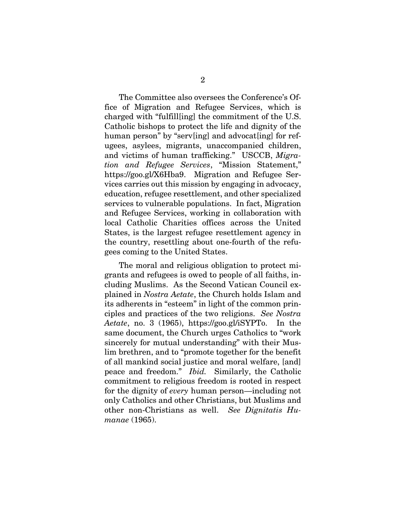The Committee also oversees the Conference's Office of Migration and Refugee Services, which is charged with "fulfill[ing] the commitment of the U.S. Catholic bishops to protect the life and dignity of the human person" by "serv[ing] and advocat[ing] for refugees, asylees, migrants, unaccompanied children, and victims of human trafficking." USCCB, *Migration and Refugee Services*, "Mission Statement," https://goo.gl/X6Hba9. Migration and Refugee Services carries out this mission by engaging in advocacy, education, refugee resettlement, and other specialized services to vulnerable populations. In fact, Migration and Refugee Services, working in collaboration with local Catholic Charities offices across the United States, is the largest refugee resettlement agency in the country, resettling about one-fourth of the refugees coming to the United States.

The moral and religious obligation to protect migrants and refugees is owed to people of all faiths, including Muslims. As the Second Vatican Council explained in *Nostra Aetate*, the Church holds Islam and its adherents in "esteem" in light of the common principles and practices of the two religions. *See Nostra Aetate*, no. 3 (1965), https://goo.gl/iSYPTo. In the same document, the Church urges Catholics to "work sincerely for mutual understanding" with their Muslim brethren, and to "promote together for the benefit of all mankind social justice and moral welfare, [and] peace and freedom." *Ibid.* Similarly, the Catholic commitment to religious freedom is rooted in respect for the dignity of *every* human person—including not only Catholics and other Christians, but Muslims and other non-Christians as well. *See Dignitatis Humanae* (1965).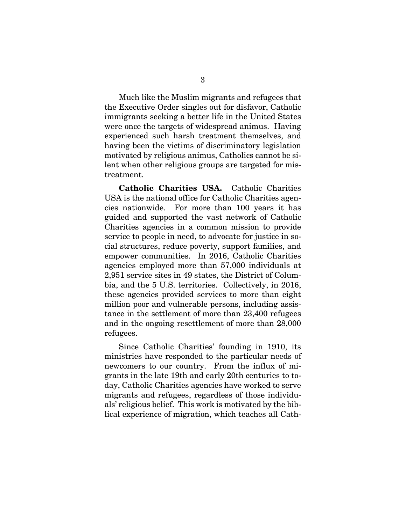Much like the Muslim migrants and refugees that the Executive Order singles out for disfavor, Catholic immigrants seeking a better life in the United States were once the targets of widespread animus. Having experienced such harsh treatment themselves, and having been the victims of discriminatory legislation motivated by religious animus, Catholics cannot be silent when other religious groups are targeted for mistreatment.

**Catholic Charities USA.** Catholic Charities USA is the national office for Catholic Charities agencies nationwide. For more than 100 years it has guided and supported the vast network of Catholic Charities agencies in a common mission to provide service to people in need, to advocate for justice in social structures, reduce poverty, support families, and empower communities. In 2016, Catholic Charities agencies employed more than 57,000 individuals at 2,951 service sites in 49 states, the District of Columbia, and the 5 U.S. territories. Collectively, in 2016, these agencies provided services to more than eight million poor and vulnerable persons, including assistance in the settlement of more than 23,400 refugees and in the ongoing resettlement of more than 28,000 refugees.

Since Catholic Charities' founding in 1910, its ministries have responded to the particular needs of newcomers to our country. From the influx of migrants in the late 19th and early 20th centuries to today, Catholic Charities agencies have worked to serve migrants and refugees, regardless of those individuals' religious belief. This work is motivated by the biblical experience of migration, which teaches all Cath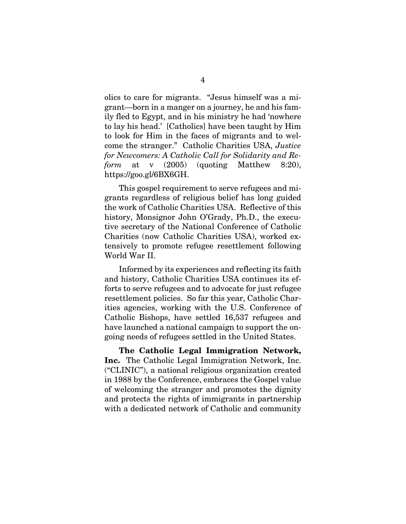olics to care for migrants. "Jesus himself was a migrant—born in a manger on a journey, he and his family fled to Egypt, and in his ministry he had 'nowhere to lay his head.' [Catholics] have been taught by Him to look for Him in the faces of migrants and to welcome the stranger." Catholic Charities USA, *Justice for Newcomers: A Catholic Call for Solidarity and Reform* at v (2005) (quoting Matthew 8:20), https://goo.gl/6BX6GH.

This gospel requirement to serve refugees and migrants regardless of religious belief has long guided the work of Catholic Charities USA. Reflective of this history, Monsignor John O'Grady, Ph.D., the executive secretary of the National Conference of Catholic Charities (now Catholic Charities USA), worked extensively to promote refugee resettlement following World War II.

Informed by its experiences and reflecting its faith and history, Catholic Charities USA continues its efforts to serve refugees and to advocate for just refugee resettlement policies. So far this year, Catholic Charities agencies, working with the U.S. Conference of Catholic Bishops, have settled 16,537 refugees and have launched a national campaign to support the ongoing needs of refugees settled in the United States.

**The Catholic Legal Immigration Network, Inc.** The Catholic Legal Immigration Network, Inc. ("CLINIC"), a national religious organization created in 1988 by the Conference, embraces the Gospel value of welcoming the stranger and promotes the dignity and protects the rights of immigrants in partnership with a dedicated network of Catholic and community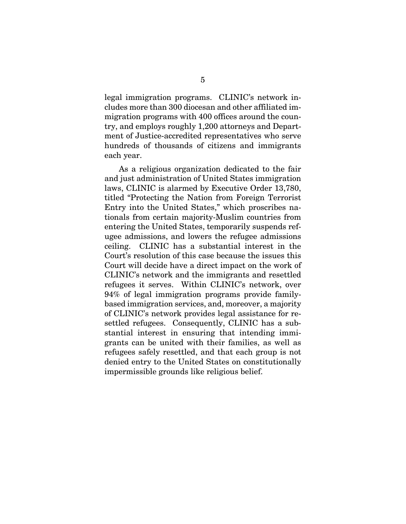legal immigration programs. CLINIC's network includes more than 300 diocesan and other affiliated immigration programs with 400 offices around the country, and employs roughly 1,200 attorneys and Department of Justice-accredited representatives who serve hundreds of thousands of citizens and immigrants each year.

As a religious organization dedicated to the fair and just administration of United States immigration laws, CLINIC is alarmed by Executive Order 13,780, titled "Protecting the Nation from Foreign Terrorist Entry into the United States," which proscribes nationals from certain majority-Muslim countries from entering the United States, temporarily suspends refugee admissions, and lowers the refugee admissions ceiling. CLINIC has a substantial interest in the Court's resolution of this case because the issues this Court will decide have a direct impact on the work of CLINIC's network and the immigrants and resettled refugees it serves. Within CLINIC's network, over 94% of legal immigration programs provide familybased immigration services, and, moreover, a majority of CLINIC's network provides legal assistance for resettled refugees. Consequently, CLINIC has a substantial interest in ensuring that intending immigrants can be united with their families, as well as refugees safely resettled, and that each group is not denied entry to the United States on constitutionally impermissible grounds like religious belief.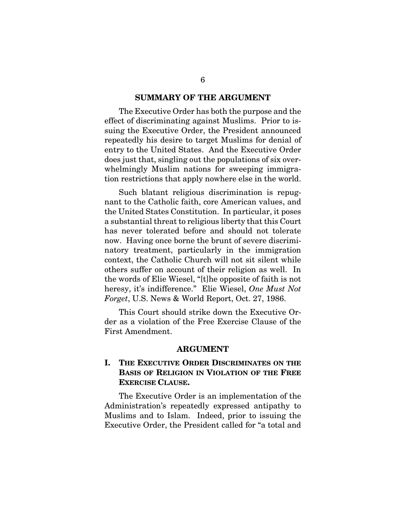#### **SUMMARY OF THE ARGUMENT**

The Executive Order has both the purpose and the effect of discriminating against Muslims. Prior to issuing the Executive Order, the President announced repeatedly his desire to target Muslims for denial of entry to the United States. And the Executive Order does just that, singling out the populations of six overwhelmingly Muslim nations for sweeping immigration restrictions that apply nowhere else in the world.

Such blatant religious discrimination is repugnant to the Catholic faith, core American values, and the United States Constitution. In particular, it poses a substantial threat to religious liberty that this Court has never tolerated before and should not tolerate now. Having once borne the brunt of severe discriminatory treatment, particularly in the immigration context, the Catholic Church will not sit silent while others suffer on account of their religion as well. In the words of Elie Wiesel, "[t]he opposite of faith is not heresy, it's indifference." Elie Wiesel, *One Must Not Forget*, U.S. News & World Report, Oct. 27, 1986.

This Court should strike down the Executive Order as a violation of the Free Exercise Clause of the First Amendment.

#### **ARGUMENT**

#### **I. THE EXECUTIVE ORDER DISCRIMINATES ON THE BASIS OF RELIGION IN VIOLATION OF THE FREE EXERCISE CLAUSE.**

The Executive Order is an implementation of the Administration's repeatedly expressed antipathy to Muslims and to Islam. Indeed, prior to issuing the Executive Order, the President called for "a total and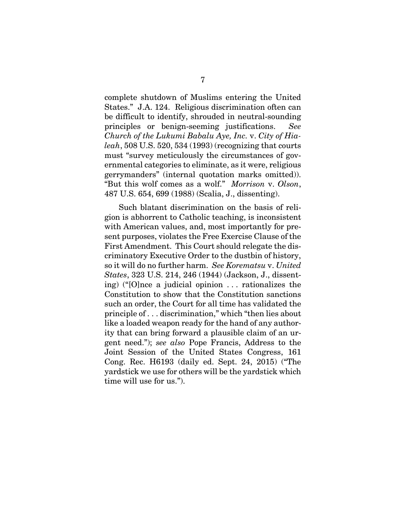complete shutdown of Muslims entering the United States." J.A. 124. Religious discrimination often can be difficult to identify, shrouded in neutral-sounding principles or benign-seeming justifications. *See Church of the Lukumi Babalu Aye, Inc.* v. *City of Hialeah*, 508 U.S. 520, 534 (1993) (recognizing that courts must "survey meticulously the circumstances of governmental categories to eliminate, as it were, religious gerrymanders" (internal quotation marks omitted)). "But this wolf comes as a wolf." *Morrison* v. *Olson*, 487 U.S. 654, 699 (1988) (Scalia, J., dissenting).

Such blatant discrimination on the basis of religion is abhorrent to Catholic teaching, is inconsistent with American values, and, most importantly for present purposes, violates the Free Exercise Clause of the First Amendment. This Court should relegate the discriminatory Executive Order to the dustbin of history, so it will do no further harm. *See Korematsu* v. *United States*, 323 U.S. 214, 246 (1944) (Jackson, J., dissenting) ("[O]nce a judicial opinion . . . rationalizes the Constitution to show that the Constitution sanctions such an order, the Court for all time has validated the principle of . . . discrimination," which "then lies about like a loaded weapon ready for the hand of any authority that can bring forward a plausible claim of an urgent need."); *see also* Pope Francis, Address to the Joint Session of the United States Congress, 161 Cong. Rec. H6193 (daily ed. Sept. 24, 2015) ("The yardstick we use for others will be the yardstick which time will use for us.").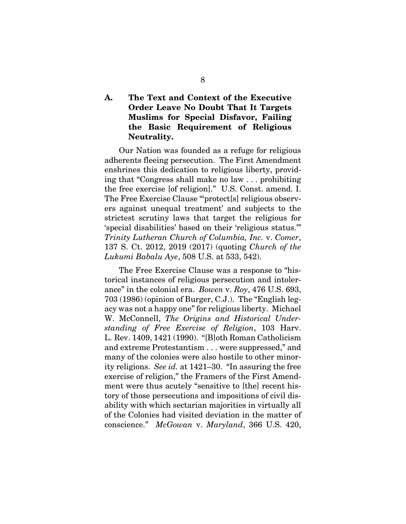### **A. The Text and Context of the Executive Order Leave No Doubt That It Targets Muslims for Special Disfavor, Failing the Basic Requirement of Religious Neutrality.**

Our Nation was founded as a refuge for religious adherents fleeing persecution. The First Amendment enshrines this dedication to religious liberty, providing that "Congress shall make no law . . . prohibiting the free exercise [of religion]." U.S. Const. amend. I. The Free Exercise Clause "'protect[s] religious observers against unequal treatment' and subjects to the strictest scrutiny laws that target the religious for 'special disabilities' based on their 'religious status.'" *Trinity Lutheran Church of Columbia, Inc.* v. *Comer*, 137 S. Ct. 2012, 2019 (2017) (quoting *Church of the Lukumi Babalu Aye*, 508 U.S. at 533, 542).

The Free Exercise Clause was a response to "historical instances of religious persecution and intolerance" in the colonial era. *Bowen* v. *Roy*, 476 U.S. 693, 703 (1986) (opinion of Burger, C.J.). The "English legacy was not a happy one" for religious liberty. Michael W. McConnell, *The Origins and Historical Understanding of Free Exercise of Religion*, 103 Harv. L. Rev. 1409, 1421 (1990). "[B]oth Roman Catholicism and extreme Protestantism . . . were suppressed," and many of the colonies were also hostile to other minority religions. *See id.* at 1421–30. "In assuring the free exercise of religion," the Framers of the First Amendment were thus acutely "sensitive to [the] recent history of those persecutions and impositions of civil disability with which sectarian majorities in virtually all of the Colonies had visited deviation in the matter of conscience." *McGowan* v. *Maryland*, 366 U.S. 420,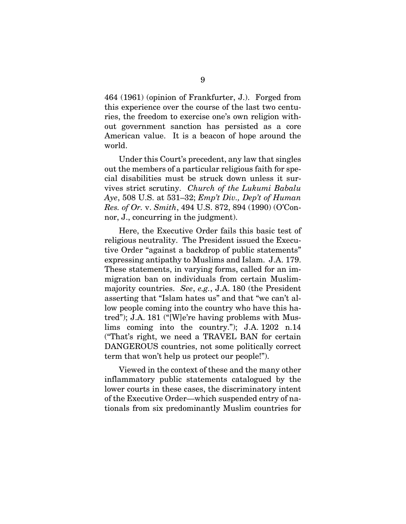464 (1961) (opinion of Frankfurter, J.). Forged from this experience over the course of the last two centuries, the freedom to exercise one's own religion without government sanction has persisted as a core American value. It is a beacon of hope around the world.

Under this Court's precedent, any law that singles out the members of a particular religious faith for special disabilities must be struck down unless it survives strict scrutiny. *Church of the Lukumi Babalu Aye*, 508 U.S. at 531–32; *Emp't Div., Dep't of Human Res. of Or.* v. *Smith*, 494 U.S. 872, 894 (1990) (O'Connor, J., concurring in the judgment).

Here, the Executive Order fails this basic test of religious neutrality. The President issued the Executive Order "against a backdrop of public statements" expressing antipathy to Muslims and Islam. J.A. 179. These statements, in varying forms, called for an immigration ban on individuals from certain Muslimmajority countries. *See*, *e.g.*, J.A. 180 (the President asserting that "Islam hates us" and that "we can't allow people coming into the country who have this hatred"); J.A. 181 ("[W]e're having problems with Muslims coming into the country."); J.A. 1202 n.14 ("That's right, we need a TRAVEL BAN for certain DANGEROUS countries, not some politically correct term that won't help us protect our people!").

Viewed in the context of these and the many other inflammatory public statements catalogued by the lower courts in these cases, the discriminatory intent of the Executive Order—which suspended entry of nationals from six predominantly Muslim countries for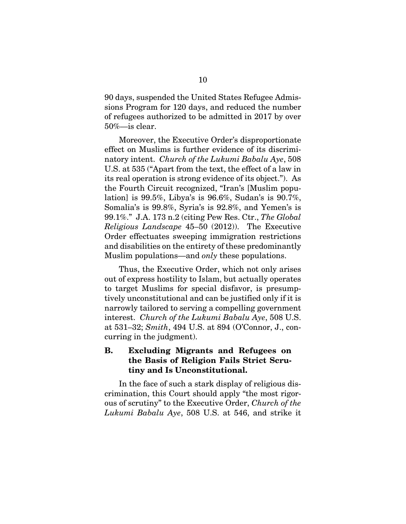90 days, suspended the United States Refugee Admissions Program for 120 days, and reduced the number of refugees authorized to be admitted in 2017 by over 50%—is clear.

Moreover, the Executive Order's disproportionate effect on Muslims is further evidence of its discriminatory intent. *Church of the Lukumi Babalu Aye*, 508 U.S. at 535 ("Apart from the text, the effect of a law in its real operation is strong evidence of its object."). As the Fourth Circuit recognized, "Iran's [Muslim population] is 99.5%, Libya's is 96.6%, Sudan's is 90.7%, Somalia's is 99.8%, Syria's is 92.8%, and Yemen's is 99.1%." J.A. 173 n.2 (citing Pew Res. Ctr., *The Global Religious Landscape* 45–50 (2012)). The Executive Order effectuates sweeping immigration restrictions and disabilities on the entirety of these predominantly Muslim populations—and *only* these populations.

Thus, the Executive Order, which not only arises out of express hostility to Islam, but actually operates to target Muslims for special disfavor, is presumptively unconstitutional and can be justified only if it is narrowly tailored to serving a compelling government interest. *Church of the Lukumi Babalu Aye*, 508 U.S. at 531–32; *Smith*, 494 U.S. at 894 (O'Connor, J., concurring in the judgment).

#### **B. Excluding Migrants and Refugees on the Basis of Religion Fails Strict Scrutiny and Is Unconstitutional.**

In the face of such a stark display of religious discrimination, this Court should apply "the most rigorous of scrutiny" to the Executive Order, *Church of the Lukumi Babalu Aye*, 508 U.S. at 546, and strike it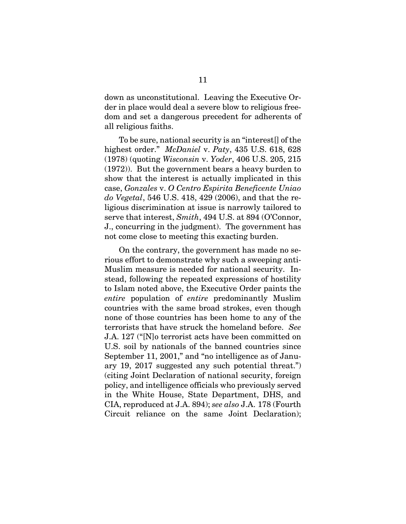down as unconstitutional. Leaving the Executive Order in place would deal a severe blow to religious freedom and set a dangerous precedent for adherents of all religious faiths.

To be sure, national security is an "interest[] of the highest order." *McDaniel* v. *Paty*, 435 U.S. 618, 628 (1978) (quoting *Wisconsin* v. *Yoder*, 406 U.S. 205, 215 (1972)). But the government bears a heavy burden to show that the interest is actually implicated in this case, *Gonzales* v. *O Centro Espirita Beneficente Uniao do Vegetal*, 546 U.S. 418, 429 (2006), and that the religious discrimination at issue is narrowly tailored to serve that interest, *Smith*, 494 U.S. at 894 (O'Connor, J., concurring in the judgment). The government has not come close to meeting this exacting burden.

On the contrary, the government has made no serious effort to demonstrate why such a sweeping anti-Muslim measure is needed for national security. Instead, following the repeated expressions of hostility to Islam noted above, the Executive Order paints the *entire* population of *entire* predominantly Muslim countries with the same broad strokes, even though none of those countries has been home to any of the terrorists that have struck the homeland before. *See*  J.A. 127 ("[N]o terrorist acts have been committed on U.S. soil by nationals of the banned countries since September 11, 2001," and "no intelligence as of January 19, 2017 suggested any such potential threat.") (citing Joint Declaration of national security, foreign policy, and intelligence officials who previously served in the White House, State Department, DHS, and CIA, reproduced at J.A. 894); *see also* J.A. 178 (Fourth Circuit reliance on the same Joint Declaration);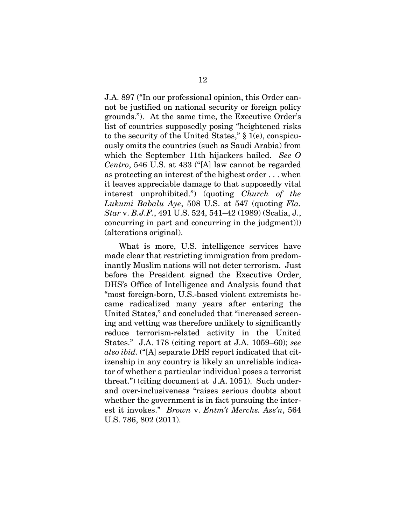J.A. 897 ("In our professional opinion, this Order cannot be justified on national security or foreign policy grounds."). At the same time, the Executive Order's list of countries supposedly posing "heightened risks to the security of the United States," § 1(e), conspicuously omits the countries (such as Saudi Arabia) from which the September 11th hijackers hailed. *See O Centro*, 546 U.S. at 433 ("[A] law cannot be regarded as protecting an interest of the highest order . . . when it leaves appreciable damage to that supposedly vital interest unprohibited.") (quoting *Church of the Lukumi Babalu Aye*, 508 U.S. at 547 (quoting *Fla. Star* v. *B.J.F.*, 491 U.S. 524, 541–42 (1989) (Scalia, J., concurring in part and concurring in the judgment))) (alterations original).

What is more, U.S. intelligence services have made clear that restricting immigration from predominantly Muslim nations will not deter terrorism. Just before the President signed the Executive Order, DHS's Office of Intelligence and Analysis found that "most foreign-born, U.S.-based violent extremists became radicalized many years after entering the United States," and concluded that "increased screening and vetting was therefore unlikely to significantly reduce terrorism-related activity in the United States." J.A. 178 (citing report at J.A. 1059–60); *see also ibid.* ("[A] separate DHS report indicated that citizenship in any country is likely an unreliable indicator of whether a particular individual poses a terrorist threat.") (citing document at J.A. 1051). Such underand over-inclusiveness "raises serious doubts about whether the government is in fact pursuing the interest it invokes." *Brown* v. *Entm't Merchs. Ass'n*, 564 U.S. 786, 802 (2011).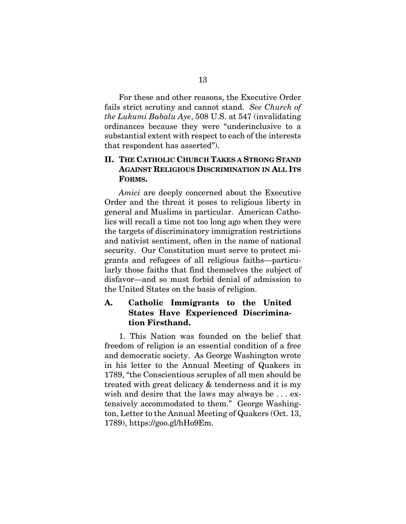For these and other reasons, the Executive Order fails strict scrutiny and cannot stand. *See Church of the Lukumi Babalu Aye*, 508 U.S. at 547 (invalidating ordinances because they were "underinclusive to a substantial extent with respect to each of the interests that respondent has asserted").

#### **II. THE CATHOLIC CHURCH TAKES A STRONG STAND AGAINST RELIGIOUS DISCRIMINATION IN ALL ITS FORMS.**

*Amici* are deeply concerned about the Executive Order and the threat it poses to religious liberty in general and Muslims in particular. American Catholics will recall a time not too long ago when they were the targets of discriminatory immigration restrictions and nativist sentiment, often in the name of national security. Our Constitution must serve to protect migrants and refugees of all religious faiths—particularly those faiths that find themselves the subject of disfavor—and so must forbid denial of admission to the United States on the basis of religion.

### **A. Catholic Immigrants to the United States Have Experienced Discrimination Firsthand.**

1. This Nation was founded on the belief that freedom of religion is an essential condition of a free and democratic society. As George Washington wrote in his letter to the Annual Meeting of Quakers in 1789, "the Conscientious scruples of all men should be treated with great delicacy & tenderness and it is my wish and desire that the laws may always be . . . extensively accommodated to them." George Washington, Letter to the Annual Meeting of Quakers (Oct. 13, 1789), https://goo.gl/hHo9Em.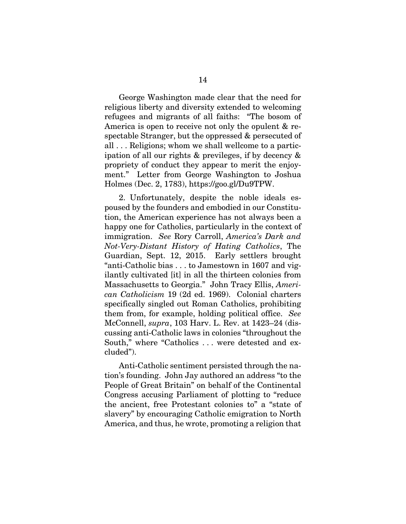George Washington made clear that the need for religious liberty and diversity extended to welcoming refugees and migrants of all faiths: "The bosom of America is open to receive not only the opulent & respectable Stranger, but the oppressed & persecuted of all . . . Religions; whom we shall wellcome to a participation of all our rights & previleges, if by decency & propriety of conduct they appear to merit the enjoyment." Letter from George Washington to Joshua Holmes (Dec. 2, 1783), https://goo.gl/Du9TPW.

2. Unfortunately, despite the noble ideals espoused by the founders and embodied in our Constitution, the American experience has not always been a happy one for Catholics, particularly in the context of immigration. *See* Rory Carroll, *America's Dark and Not-Very-Distant History of Hating Catholics*, The Guardian, Sept. 12, 2015. Early settlers brought "anti-Catholic bias . . . to Jamestown in 1607 and vigilantly cultivated [it] in all the thirteen colonies from Massachusetts to Georgia." John Tracy Ellis, *American Catholicism* 19 (2d ed. 1969). Colonial charters specifically singled out Roman Catholics, prohibiting them from, for example, holding political office. *See*  McConnell, *supra*, 103 Harv. L. Rev. at 1423–24 (discussing anti-Catholic laws in colonies "throughout the South," where "Catholics . . . were detested and excluded").

Anti-Catholic sentiment persisted through the nation's founding. John Jay authored an address "to the People of Great Britain" on behalf of the Continental Congress accusing Parliament of plotting to "reduce the ancient, free Protestant colonies to" a "state of slavery" by encouraging Catholic emigration to North America, and thus, he wrote, promoting a religion that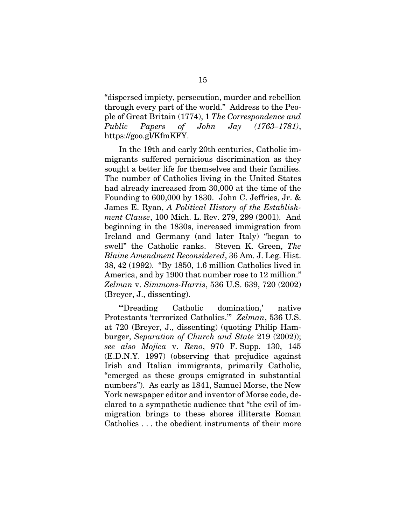"dispersed impiety, persecution, murder and rebellion through every part of the world." Address to the People of Great Britain (1774), 1 *The Correspondence and Public Papers of John Jay (1763–1781)*, https://goo.gl/KfmKFY.

In the 19th and early 20th centuries, Catholic immigrants suffered pernicious discrimination as they sought a better life for themselves and their families. The number of Catholics living in the United States had already increased from 30,000 at the time of the Founding to 600,000 by 1830. John C. Jeffries, Jr. & James E. Ryan, *A Political History of the Establishment Clause*, 100 Mich. L. Rev. 279, 299 (2001). And beginning in the 1830s, increased immigration from Ireland and Germany (and later Italy) "began to swell" the Catholic ranks. Steven K. Green, *The Blaine Amendment Reconsidered*, 36 Am. J. Leg. Hist. 38, 42 (1992). "By 1850, 1.6 million Catholics lived in America, and by 1900 that number rose to 12 million." *Zelman* v. *Simmons-Harris*, 536 U.S. 639, 720 (2002) (Breyer, J., dissenting).

"'Dreading Catholic domination,' native Protestants 'terrorized Catholics.'" *Zelman*, 536 U.S. at 720 (Breyer, J., dissenting) (quoting Philip Hamburger, *Separation of Church and State* 219 (2002)); *see also Mojica* v. *Reno*, 970 F. Supp. 130, 145 (E.D.N.Y. 1997) (observing that prejudice against Irish and Italian immigrants, primarily Catholic, "emerged as these groups emigrated in substantial numbers"). As early as 1841, Samuel Morse, the New York newspaper editor and inventor of Morse code, declared to a sympathetic audience that "the evil of immigration brings to these shores illiterate Roman Catholics . . . the obedient instruments of their more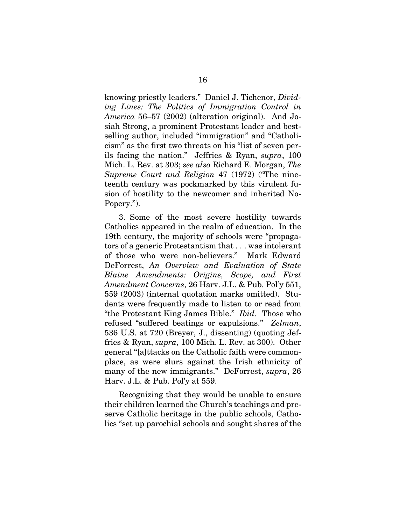knowing priestly leaders." Daniel J. Tichenor, *Dividing Lines: The Politics of Immigration Control in America* 56–57 (2002) (alteration original). And Josiah Strong, a prominent Protestant leader and bestselling author, included "immigration" and "Catholicism" as the first two threats on his "list of seven perils facing the nation." Jeffries & Ryan, *supra*, 100 Mich. L. Rev. at 303; *see also* Richard E. Morgan, *The Supreme Court and Religion* 47 (1972) ("The nineteenth century was pockmarked by this virulent fusion of hostility to the newcomer and inherited No-Popery.").

3. Some of the most severe hostility towards Catholics appeared in the realm of education. In the 19th century, the majority of schools were "propagators of a generic Protestantism that . . . was intolerant of those who were non-believers." Mark Edward DeForrest, *An Overview and Evaluation of State Blaine Amendments: Origins, Scope, and First Amendment Concerns*, 26 Harv. J.L. & Pub. Pol'y 551, 559 (2003) (internal quotation marks omitted). Students were frequently made to listen to or read from "the Protestant King James Bible." *Ibid.* Those who refused "suffered beatings or expulsions." *Zelman*, 536 U.S. at 720 (Breyer, J., dissenting) (quoting Jeffries & Ryan, *supra*, 100 Mich. L. Rev. at 300). Other general "[a]ttacks on the Catholic faith were commonplace, as were slurs against the Irish ethnicity of many of the new immigrants."DeForrest, *supra*, 26 Harv. J.L. & Pub. Pol'y at 559.

Recognizing that they would be unable to ensure their children learned the Church's teachings and preserve Catholic heritage in the public schools, Catholics "set up parochial schools and sought shares of the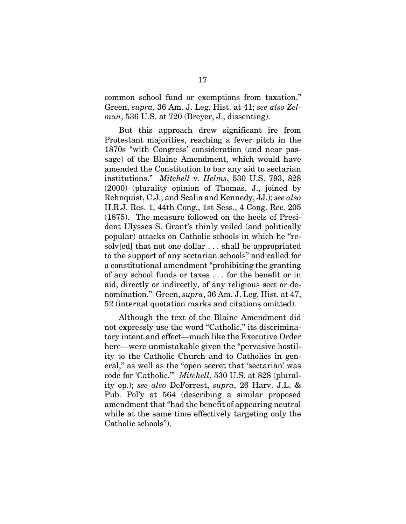common school fund or exemptions from taxation." Green, *supra*, 36 Am. J. Leg. Hist. at 41; *see also Zelman*, 536 U.S. at 720 (Breyer, J., dissenting).

But this approach drew significant ire from Protestant majorities, reaching a fever pitch in the 1870s "with Congress' consideration (and near passage) of the Blaine Amendment, which would have amended the Constitution to bar any aid to sectarian institutions." *Mitchell* v. *Helms*, 530 U.S. 793, 828 (2000) (plurality opinion of Thomas, J., joined by Rehnquist, C.J., and Scalia and Kennedy, JJ.); *see also*  H.R.J. Res. 1, 44th Cong., 1st Sess., 4 Cong. Rec. 205 (1875). The measure followed on the heels of President Ulysses S. Grant's thinly veiled (and politically popular) attacks on Catholic schools in which he "resolv[ed] that not one dollar . . . shall be appropriated to the support of any sectarian schools" and called for a constitutional amendment "prohibiting the granting of any school funds or taxes . . . for the benefit or in aid, directly or indirectly, of any religious sect or denomination." Green, *supra*, 36 Am. J. Leg. Hist. at 47, 52 (internal quotation marks and citations omitted).

Although the text of the Blaine Amendment did not expressly use the word "Catholic," its discriminatory intent and effect—much like the Executive Order here—were unmistakable given the "pervasive hostility to the Catholic Church and to Catholics in general," as well as the "open secret that 'sectarian' was code for 'Catholic.'" *Mitchell*, 530 U.S. at 828 (plurality op.); *see also* DeForrest, *supra*, 26 Harv. J.L. & Pub. Pol'y at 564 (describing a similar proposed amendment that "had the benefit of appearing neutral while at the same time effectively targeting only the Catholic schools").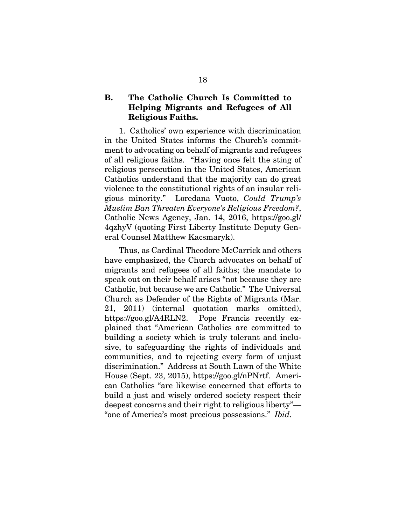#### **B. The Catholic Church Is Committed to Helping Migrants and Refugees of All Religious Faiths.**

1. Catholics' own experience with discrimination in the United States informs the Church's commitment to advocating on behalf of migrants and refugees of all religious faiths. "Having once felt the sting of religious persecution in the United States, American Catholics understand that the majority can do great violence to the constitutional rights of an insular religious minority." Loredana Vuoto, *Could Trump's Muslim Ban Threaten Everyone's Religious Freedom?*, Catholic News Agency, Jan. 14, 2016, https://goo.gl/ 4qzhyV (quoting First Liberty Institute Deputy General Counsel Matthew Kacsmaryk).

Thus, as Cardinal Theodore McCarrick and others have emphasized, the Church advocates on behalf of migrants and refugees of all faiths; the mandate to speak out on their behalf arises "not because they are Catholic, but because we are Catholic." The Universal Church as Defender of the Rights of Migrants (Mar. 21, 2011) (internal quotation marks omitted), https://goo.gl/A4RLN2. Pope Francis recently explained that "American Catholics are committed to building a society which is truly tolerant and inclusive, to safeguarding the rights of individuals and communities, and to rejecting every form of unjust discrimination." Address at South Lawn of the White House (Sept. 23, 2015), https://goo.gl/nPNrtf. American Catholics "are likewise concerned that efforts to build a just and wisely ordered society respect their deepest concerns and their right to religious liberty"— "one of America's most precious possessions." *Ibid.*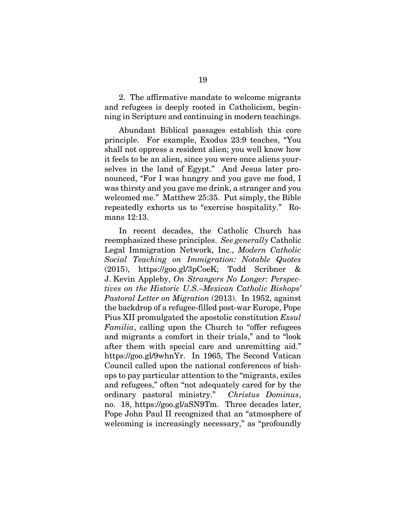2. The affirmative mandate to welcome migrants and refugees is deeply rooted in Catholicism, beginning in Scripture and continuing in modern teachings.

Abundant Biblical passages establish this core principle. For example, Exodus 23:9 teaches, "You shall not oppress a resident alien; you well know how it feels to be an alien, since you were once aliens yourselves in the land of Egypt." And Jesus later pronounced, "For I was hungry and you gave me food, I was thirsty and you gave me drink, a stranger and you welcomed me." Matthew 25:35. Put simply, the Bible repeatedly exhorts us to "exercise hospitality." Romans 12:13.

In recent decades, the Catholic Church has reemphasized these principles. *See generally* Catholic Legal Immigration Network, Inc., *Modern Catholic Social Teaching on Immigration: Notable Quotes* (2015), https://goo.gl/3pCoeK; Todd Scribner & J. Kevin Appleby, *On Strangers No Longer: Perspectives on the Historic U.S.–Mexican Catholic Bishops' Pastoral Letter on Migration* (2013). In 1952, against the backdrop of a refugee-filled post-war Europe, Pope Pius XII promulgated the apostolic constitution *Exsul Familia*, calling upon the Church to "offer refugees and migrants a comfort in their trials," and to "look after them with special care and unremitting aid." https://goo.gl/9whnYr. In 1965, The Second Vatican Council called upon the national conferences of bishops to pay particular attention to the "migrants, exiles and refugees," often "not adequately cared for by the ordinary pastoral ministry." *Christus Dominus*, no. 18, https://goo.gl/aSN9Tm. Three decades later, Pope John Paul II recognized that an "atmosphere of welcoming is increasingly necessary," as "profoundly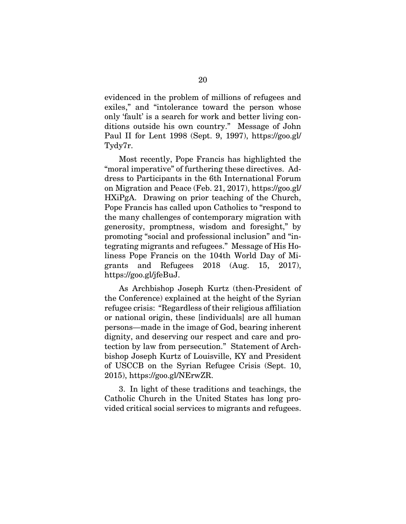evidenced in the problem of millions of refugees and exiles," and "intolerance toward the person whose only 'fault' is a search for work and better living conditions outside his own country." Message of John Paul II for Lent 1998 (Sept. 9, 1997), https://goo.gl/ Tydy7r.

Most recently, Pope Francis has highlighted the "moral imperative" of furthering these directives. Address to Participants in the 6th International Forum on Migration and Peace (Feb. 21, 2017), https://goo.gl/ HXiPgA. Drawing on prior teaching of the Church, Pope Francis has called upon Catholics to "respond to the many challenges of contemporary migration with generosity, promptness, wisdom and foresight," by promoting "social and professional inclusion" and "integrating migrants and refugees." Message of His Holiness Pope Francis on the 104th World Day of Migrants and Refugees 2018 (Aug. 15, 2017), https://goo.gl/jfeBuJ.

As Archbishop Joseph Kurtz (then-President of the Conference) explained at the height of the Syrian refugee crisis: "Regardless of their religious affiliation or national origin, these [individuals] are all human persons—made in the image of God, bearing inherent dignity, and deserving our respect and care and protection by law from persecution." Statement of Archbishop Joseph Kurtz of Louisville, KY and President of USCCB on the Syrian Refugee Crisis (Sept. 10, 2015), https://goo.gl/NErwZR.

3. In light of these traditions and teachings, the Catholic Church in the United States has long provided critical social services to migrants and refugees.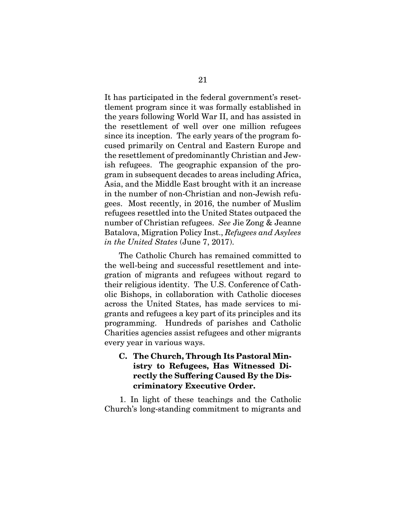It has participated in the federal government's resettlement program since it was formally established in the years following World War II, and has assisted in the resettlement of well over one million refugees since its inception. The early years of the program focused primarily on Central and Eastern Europe and the resettlement of predominantly Christian and Jewish refugees. The geographic expansion of the program in subsequent decades to areas including Africa, Asia, and the Middle East brought with it an increase in the number of non-Christian and non-Jewish refugees. Most recently, in 2016, the number of Muslim refugees resettled into the United States outpaced the number of Christian refugees. *See* Jie Zong & Jeanne Batalova, Migration Policy Inst., *Refugees and Asylees in the United States* (June 7, 2017).

The Catholic Church has remained committed to the well-being and successful resettlement and integration of migrants and refugees without regard to their religious identity. The U.S. Conference of Catholic Bishops, in collaboration with Catholic dioceses across the United States, has made services to migrants and refugees a key part of its principles and its programming. Hundreds of parishes and Catholic Charities agencies assist refugees and other migrants every year in various ways.

#### **C. The Church, Through Its Pastoral Ministry to Refugees, Has Witnessed Directly the Suffering Caused By the Discriminatory Executive Order.**

1. In light of these teachings and the Catholic Church's long-standing commitment to migrants and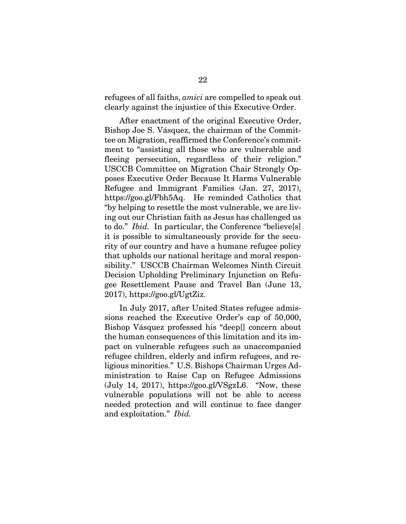refugees of all faiths, *amici* are compelled to speak out clearly against the injustice of this Executive Order.

After enactment of the original Executive Order, Bishop Joe S. Vásquez, the chairman of the Committee on Migration, reaffirmed the Conference's commitment to "assisting all those who are vulnerable and fleeing persecution, regardless of their religion." USCCB Committee on Migration Chair Strongly Opposes Executive Order Because It Harms Vulnerable Refugee and Immigrant Families (Jan. 27, 2017), https://goo.gl/Fbh5Aq. He reminded Catholics that "by helping to resettle the most vulnerable, we are living out our Christian faith as Jesus has challenged us to do." *Ibid.* In particular, the Conference "believe[s] it is possible to simultaneously provide for the security of our country and have a humane refugee policy that upholds our national heritage and moral responsibility." USCCB Chairman Welcomes Ninth Circuit Decision Upholding Preliminary Injunction on Refugee Resettlement Pause and Travel Ban (June 13, 2017), https://goo.gl/UgtZiz.

In July 2017, after United States refugee admissions reached the Executive Order's cap of 50,000, Bishop Vásquez professed his "deep[] concern about the human consequences of this limitation and its impact on vulnerable refugees such as unaccompanied refugee children, elderly and infirm refugees, and religious minorities." U.S. Bishops Chairman Urges Administration to Raise Cap on Refugee Admissions (July 14, 2017), https://goo.gl/VSgzL6. "Now, these vulnerable populations will not be able to access needed protection and will continue to face danger and exploitation." *Ibid.*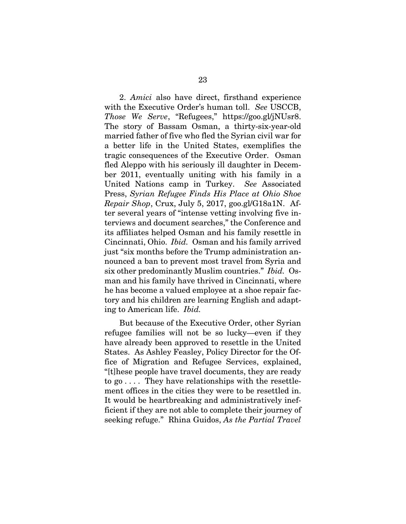2. *Amici* also have direct, firsthand experience with the Executive Order's human toll. *See* USCCB, *Those We Serve*, "Refugees," https://goo.gl/jNUsr8. The story of Bassam Osman, a thirty-six-year-old married father of five who fled the Syrian civil war for a better life in the United States, exemplifies the tragic consequences of the Executive Order. Osman fled Aleppo with his seriously ill daughter in December 2011, eventually uniting with his family in a United Nations camp in Turkey. *See* Associated Press, *Syrian Refugee Finds His Place at Ohio Shoe Repair Shop*, Crux, July 5, 2017, goo.gl/G18a1N. After several years of "intense vetting involving five interviews and document searches," the Conference and its affiliates helped Osman and his family resettle in Cincinnati, Ohio. *Ibid.* Osman and his family arrived just "six months before the Trump administration announced a ban to prevent most travel from Syria and six other predominantly Muslim countries." *Ibid.* Osman and his family have thrived in Cincinnati, where he has become a valued employee at a shoe repair factory and his children are learning English and adapting to American life. *Ibid.*

But because of the Executive Order, other Syrian refugee families will not be so lucky—even if they have already been approved to resettle in the United States. As Ashley Feasley, Policy Director for the Office of Migration and Refugee Services, explained, "[t]hese people have travel documents, they are ready to go . . . . They have relationships with the resettlement offices in the cities they were to be resettled in. It would be heartbreaking and administratively inefficient if they are not able to complete their journey of seeking refuge."Rhina Guidos, *As the Partial Travel*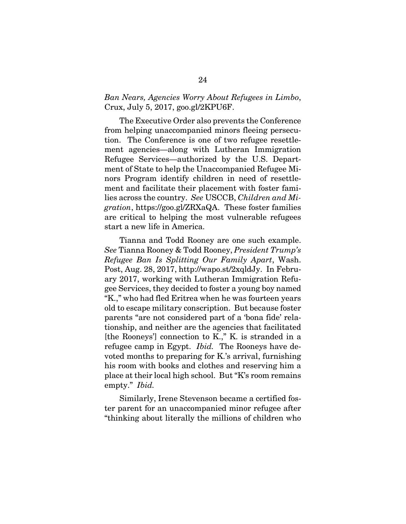#### *Ban Nears, Agencies Worry About Refugees in Limbo*, Crux, July 5, 2017, goo.gl/2KPU6F.

The Executive Order also prevents the Conference from helping unaccompanied minors fleeing persecution. The Conference is one of two refugee resettlement agencies—along with Lutheran Immigration Refugee Services—authorized by the U.S. Department of State to help the Unaccompanied Refugee Minors Program identify children in need of resettlement and facilitate their placement with foster families across the country. *See* USCCB, *Children and Migration*, https://goo.gl/ZRXaQA. These foster families are critical to helping the most vulnerable refugees start a new life in America.

Tianna and Todd Rooney are one such example. *See* Tianna Rooney & Todd Rooney, *President Trump's Refugee Ban Is Splitting Our Family Apart*, Wash. Post, Aug. 28, 2017, http://wapo.st/2xqldJy. In February 2017, working with Lutheran Immigration Refugee Services, they decided to foster a young boy named "K.," who had fled Eritrea when he was fourteen years old to escape military conscription. But because foster parents "are not considered part of a 'bona fide' relationship, and neither are the agencies that facilitated [the Rooneys'] connection to K.," K. is stranded in a refugee camp in Egypt. *Ibid.* The Rooneys have devoted months to preparing for K.'s arrival, furnishing his room with books and clothes and reserving him a place at their local high school. But "K's room remains empty." *Ibid.*

Similarly, Irene Stevenson became a certified foster parent for an unaccompanied minor refugee after "thinking about literally the millions of children who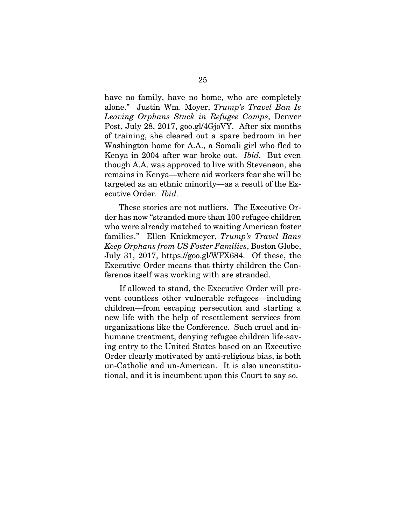have no family, have no home, who are completely alone." Justin Wm. Moyer, *Trump's Travel Ban Is Leaving Orphans Stuck in Refugee Camps*, Denver Post, July 28, 2017, goo.gl/4GjoVY. After six months of training, she cleared out a spare bedroom in her Washington home for A.A., a Somali girl who fled to Kenya in 2004 after war broke out. *Ibid.* But even though A.A. was approved to live with Stevenson, she remains in Kenya—where aid workers fear she will be targeted as an ethnic minority—as a result of the Executive Order. *Ibid.*

These stories are not outliers. The Executive Order has now "stranded more than 100 refugee children who were already matched to waiting American foster families." Ellen Knickmeyer, *Trump's Travel Bans Keep Orphans from US Foster Families*, Boston Globe, July 31, 2017, https://goo.gl/WFX684. Of these, the Executive Order means that thirty children the Conference itself was working with are stranded.

If allowed to stand, the Executive Order will prevent countless other vulnerable refugees—including children—from escaping persecution and starting a new life with the help of resettlement services from organizations like the Conference. Such cruel and inhumane treatment, denying refugee children life-saving entry to the United States based on an Executive Order clearly motivated by anti-religious bias, is both un-Catholic and un-American. It is also unconstitutional, and it is incumbent upon this Court to say so.